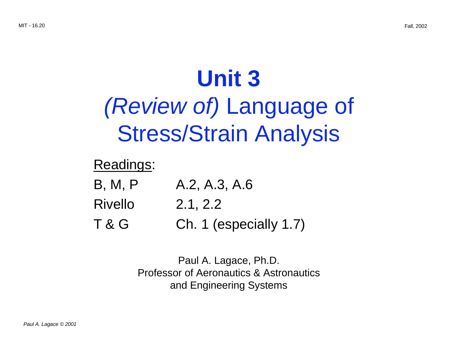# **Unit 3**

# (Review of) Language of Stress/Strain Analysis

## Readings:

- B, M, P A.2, A.3, A.6
- Rivello 2.1, 2.2
- T & G Ch. 1 (especially 1.7)

Paul A. Lagace, Ph.D. Professor of Aeronautics & Astronautics and Engineering Systems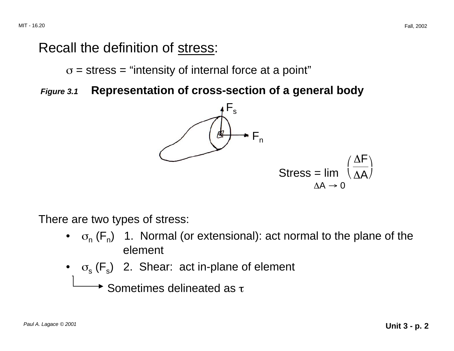## Recall the definition of stress:

 $\sigma$  = stress = "intensity of internal force at a point"

**Figure 3.1 Representation of cross-section of a general body** 



There are two types of stress:

- $\sigma_n$  (F<sub>n</sub>) 1. Normal (or extensional): act normal to the plane of the element
- $\sigma_s$  ( $F_s$ ) 2. Shear: act in-plane of element

 $\rightarrow$  Sometimes delineated as  $\tau$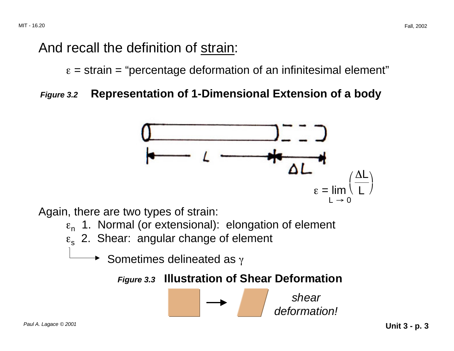## And recall the definition of strain:

 $\varepsilon$  = strain = "percentage deformation of an infinitesimal element"

#### **Figure 3.2 Representation of 1-Dimensional Extension of a body**



shear

deformation!

Again, there are two types of strain:

- $\varepsilon_n$  1. Normal (or extensional): elongation of element
- $\varepsilon$ <sub>s</sub> 2. Shear: angular change of element
	- Sometimes delineated as  $\gamma$

**Figure 3.3 Illustration of Shear Deformation**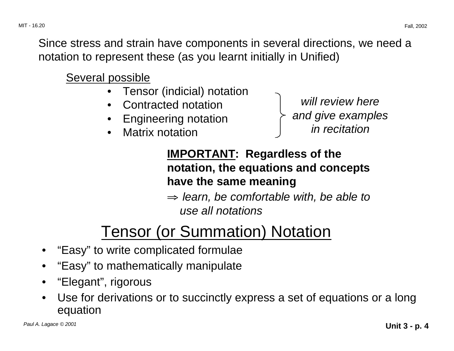Since stress and strain have components in several directions, we need a notation to represent these (as you learnt initially in Unified)

Several possible

- Tensor (indicial) notation
- 
- 
- **Matrix notation**

• Contracted notation will review here Engineering notation **and give examples**<br>Matrix notation **and in recitation** 

## **IMPORTANT: Regardless of the notation, the equations and concepts have the same meaning**

 $\Rightarrow$  learn, be comfortable with, be able to use all notations

## Tensor (or Summation) Notation

- "Easy" to write complicated formulae
- "Easy" to mathematically manipulate
- "Elegant", rigorous
- Use for derivations or to succinctly express a set of equations or a long equation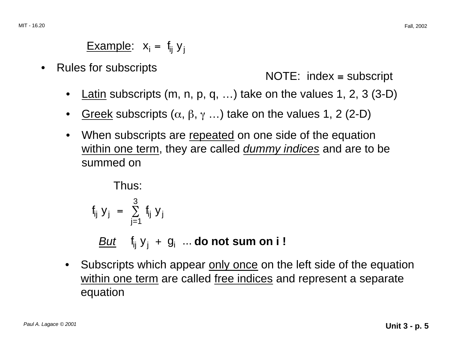MIT - 16.20 Fall, 2002

## Example:  $x_i = f_{ii} y_i$

Rules for subscripts NOTE: index ≡ subscripts

- Latin subscripts (m, n, p, q, ...) take on the values 1, 2, 3 (3-D)
- Greek subscripts ( $\alpha$ ,  $\beta$ ,  $\gamma$  ...) take on the values 1, 2 (2-D)
- When subscripts are repeated on one side of the equation within one term, they are called *dummy indices* and are to be summed on

Thus:

$$
f_{ij} y_j = \sum_{j=1}^{3} f_{ij} y_j
$$
  
*But*  $f_{ij} y_j + g_i$  ... do not sum on i !

Subscripts which appear only once on the left side of the equation within one term are called free indices and represent a separate equation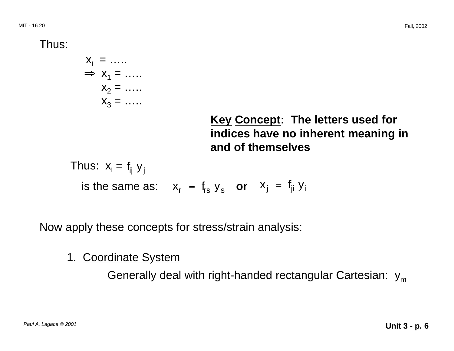Thus:

 $X_i = \ldots$  $\Rightarrow$   $X_1 =$  …  $X_2 =$  .....  $X_3 = \ldots$ 

> **Key Concept: The letters used for indices have no inherent meaning in and of themselves**

Thus:  $x_i = f_{ii} y_i$ is the same as:  $x_r = f_{rs} y_s$  or  $x_i = f_{ji} y_i$ 

Now apply these concepts for stress/strain analysis:

1. Coordinate System

Generally deal with right-handed rectangular Cartesian:  $y_m$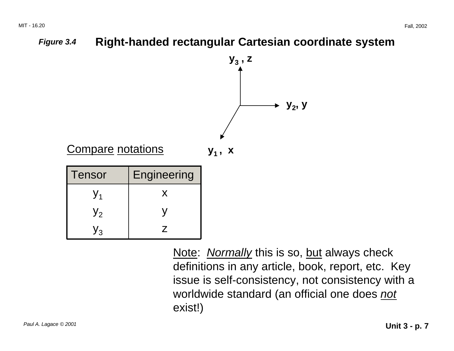

exist!)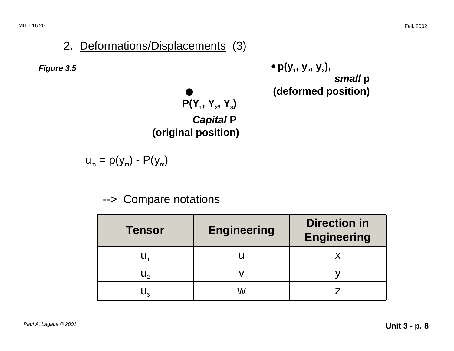#### 2. Deformations/Displacements (3)

**Figure 3.5 •**  $p(y_1, y_2, y_3)$ , **small p (deformed position)** 

 $P(Y_1, Y_2, Y_3)$ **Capital P (original position)** 

 $u_m = p(y_m) - P(y_m)$ 

#### --> Compare notations

| <b>Tensor</b> | <b>Engineering</b> | <b>Direction in</b><br><b>Engineering</b> |
|---------------|--------------------|-------------------------------------------|
|               |                    |                                           |
|               |                    |                                           |
|               | ۱A.                |                                           |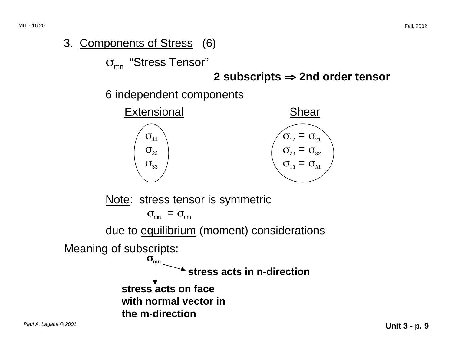#### 3. Components of Stress (6)

 $\sigma_{mn}$  "Stress Tensor"

#### ⇒ **2 subscripts** ⇒ **2nd order tensor**

6 independent components



Note: stress tensor is symmetric

 $\sigma_{\rm mn} = \sigma_{\rm nm}$ 

due to equilibrium (moment) considerations

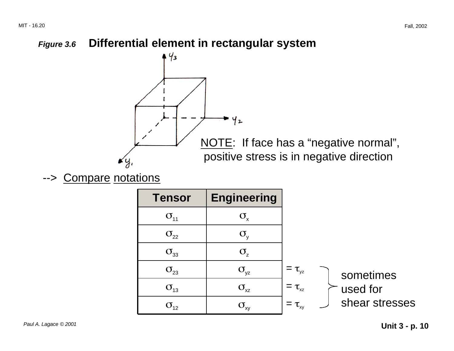#### **Figure 3.6 Differential element in rectangular system**



--> Compare notations

| <b>Tensor</b>                     | <b>Engineering</b> |              |                       |                |
|-----------------------------------|--------------------|--------------|-----------------------|----------------|
| $\sigma_{11}$                     | $\sigma_{\rm x}$   |              |                       |                |
| $\sigma_{22}$                     | $\sigma_{\rm v}$   |              |                       |                |
| $\sigma_{33}$                     | $\sigma_{\rm z}$   |              |                       |                |
| $\sigma_{23}$                     | $\sigma_{yz}$      | $=\tau_{yz}$ | sometimes<br>used for |                |
| $\sigma_{13}$                     | $\sigma_{xz}$      | $=\tau_{xz}$ |                       |                |
| $\sigma_{\scriptscriptstyle{12}}$ | $\sigma_{\rm xy}$  | $=\tau_{xy}$ |                       | shear stresses |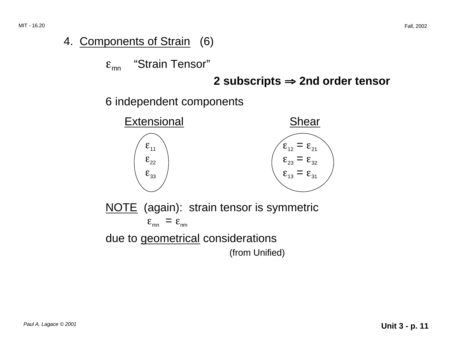#### 4. Components of Strain (6)

 $\varepsilon_{mn}$  "Strain Tensor"

#### ⇒ **2 subscripts** ⇒ **2nd order tensor**

6 independent components

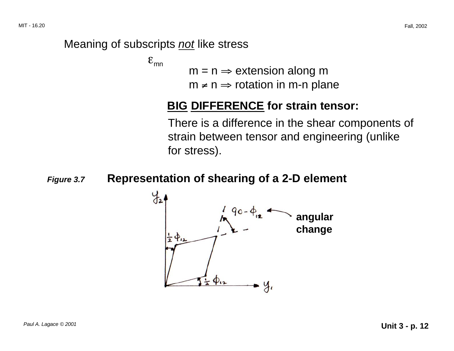#### Meaning of subscripts not like stress

 $\epsilon_{\rm mn}$ 

- $m = n \Rightarrow$  extension along m
- $m \neq n \Rightarrow$  rotation in m-n plane

#### **BIG DIFFERENCE for strain tensor:**

There is a difference in the shear components of strain between tensor and engineering (unlike for stress).

#### **Figure 3.7 Representation of shearing of a 2-D element**

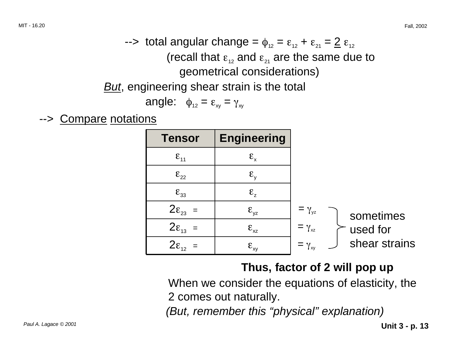$\epsilon$ -> total angular change =  $\phi_{12} = \varepsilon_{12} + \varepsilon_{21} = 2 \varepsilon_{12}$ (recall that  $\varepsilon_{12}$  and  $\varepsilon_{21}$  are the same due to geometrical considerations) **But**, engineering shear strain is the total

$$
angle: \quad \phi_{12} = \varepsilon_{xy} = \gamma_{xy}
$$

--> Compare notations

| <b>Tensor</b>       | <b>Engineering</b>     |                |               |
|---------------------|------------------------|----------------|---------------|
| $\epsilon_{11}$     | $\epsilon_{\rm x}$     |                |               |
| $\epsilon_{22}$     | $\epsilon_{v}$         |                |               |
| $\epsilon_{33}$     | $\mathcal{E}_{7}$      |                |               |
| $2\varepsilon_{23}$ | $\epsilon_{\text{yz}}$ | $=\gamma_{yz}$ | sometimes     |
| $2\varepsilon_{13}$ | $\epsilon_{xz}$        | $=\gamma_{xz}$ | used for      |
| $2\epsilon_{12}$    | $\epsilon_{xy}$        | $=\gamma_{xy}$ | shear strains |

## **Thus, factor of 2 will pop up**

When we consider the equations of elasticity, the 2 comes out naturally.

(But, remember this "physical" explanation)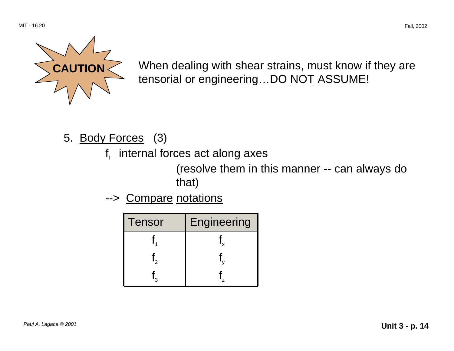

**CAUTION** When dealing with shear strains, must know if they are tensorial or engineering... DO NOT ASSUME!

- 5. Body Forces (3)
	- $f_i$  internal forces act along axes

(resolve them in this manner -- can always do that)

--> Compare notations

| Tensor | Engineering |
|--------|-------------|
|        |             |
|        |             |
|        |             |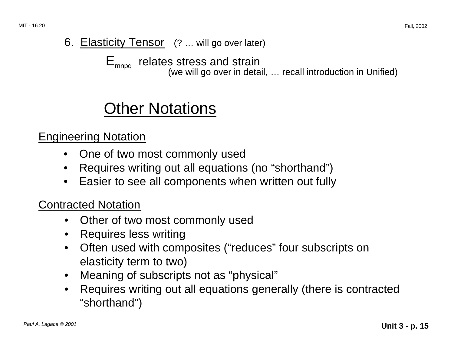## 6. Elasticity Tensor (? ... will go over later)

 $E_{mnpq}$  relates stress and strain<br>(we will go over in detail, ... recall introduction in Unified)

## Other Notations

Engineering Notation

- One of two most commonly used
- Requires writing out all equations (no "shorthand")
- Easier to see all components when written out fully

Contracted Notation

- Other of two most commonly used
- Requires less writing
- Often used with composites ("reduces" four subscripts on elasticity term to two)
- Meaning of subscripts not as "physical"
- Requires writing out all equations generally (there is contracted "shorthand")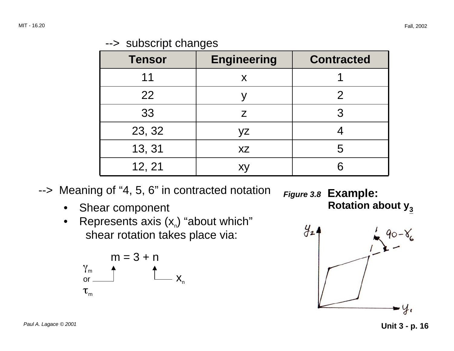| <b>Tensor</b> | <b>Engineering</b> | <b>Contracted</b> |
|---------------|--------------------|-------------------|
| 11            |                    |                   |
| 22            |                    | 2                 |
| 33            | Z                  | 3                 |
| 23, 32        | γz                 |                   |
| 13, 31        | <b>XZ</b>          | 5                 |
| 12, 21        | X١                 | 6                 |

--> Meaning of "4, 5, 6" in contracted notation

- Shear component
- Represents axis  $(x_n)$  "about which" shear rotation takes place via:

$$
m = 3 + n
$$
\n
$$
\gamma_m
$$
\nor\n
$$
\gamma_m
$$
\n
$$
\gamma_m
$$
\n
$$
\gamma_m
$$
\n
$$
\gamma_m
$$

**Figure 3.8 Example: Rotation about y<sub>3</sub>**